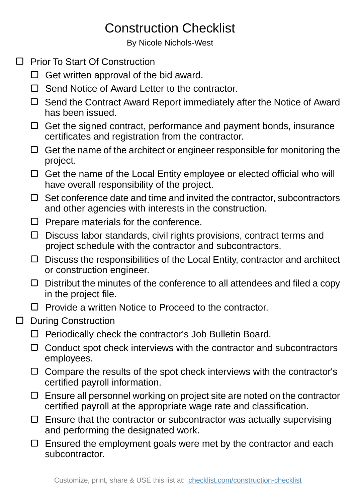## Construction Checklist

By Nicole Nichols-West

- □ Prior To Start Of Construction
	- $\Box$  Get written approval of the bid award.
	- $\Box$  Send Notice of Award Letter to the contractor.
	- $\Box$  Send the Contract Award Report immediately after the Notice of Award has been issued.
	- $\Box$  Get the signed contract, performance and payment bonds, insurance certificates and registration from the contractor.
	- $\Box$  Get the name of the architect or engineer responsible for monitoring the project.
	- $\Box$  Get the name of the Local Entity employee or elected official who will have overall responsibility of the project.
	- $\Box$  Set conference date and time and invited the contractor, subcontractors and other agencies with interests in the construction.
	- $\Box$  Prepare materials for the conference.
	- $\square$  Discuss labor standards, civil rights provisions, contract terms and project schedule with the contractor and subcontractors.
	- $\Box$  Discuss the responsibilities of the Local Entity, contractor and architect or construction engineer.
	- $\Box$  Distribut the minutes of the conference to all attendees and filed a copy in the project file.
	- $\Box$  Provide a written Notice to Proceed to the contractor.
- □ During Construction
	- $\Box$  Periodically check the contractor's Job Bulletin Board.
	- $\Box$  Conduct spot check interviews with the contractor and subcontractors employees.
	- $\Box$  Compare the results of the spot check interviews with the contractor's certified payroll information.
	- $\Box$  Ensure all personnel working on project site are noted on the contractor certified payroll at the appropriate wage rate and classification.
	- $\Box$  Ensure that the contractor or subcontractor was actually supervising and performing the designated work.
	- $\Box$  Ensured the employment goals were met by the contractor and each subcontractor.